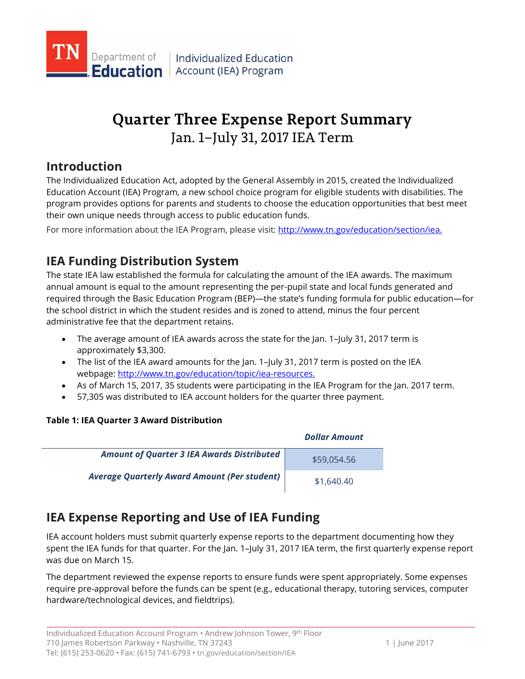

# **Quarter Three Expense Report Summary** Jan. 1–July 31, 2017 IEA Term

## **Introduction**

The Individualized Education Act, adopted by the General Assembly in 2015, created the Individualized Education Account (IEA) Program, a new school choice program for eligible students with disabilities. The program provides options for parents and students to choose the education opportunities that best meet their own unique needs through access to public education funds.

For more information about the IEA Program, please visit: http://www.tn.gov/education/section/iea.

## **IEA Funding Distribution System**

The state IEA law established the formula for calculating the amount of the IEA awards. The maximum annual amount is equal to the amount representing the per-pupil state and local funds generated and required through the Basic Education Program (BEP)—the state's funding formula for public education—for the school district in which the student resides and is zoned to attend, minus the four percent administrative fee that the department retains.

- The average amount of IEA awards across the state for the Jan. 1–July 31, 2017 term is approximately \$3,300.
- The list of the IEA award amounts for the Jan. 1-July 31, 2017 term is posted on the IEA webpage: [http://www.tn.gov/education/topic/iea-resources.](http://www.tn.gov/education/topic/iea-resources)
- As of March 15, 2017, 35 students were participating in the IEA Program for the Jan. 2017 term.
- 57,305 was distributed to IEA account holders for the quarter three payment.

### **Table 1: IEA Quarter 3 Award Distribution**

|                                                   | <b>Dollar Amount</b> |
|---------------------------------------------------|----------------------|
| <b>Amount of Quarter 3 IEA Awards Distributed</b> | \$59,054.56          |
| Average Quarterly Award Amount (Per student)      | \$1,640.40           |

## **IEA Expense Reporting and Use of IEA Funding**

IEA account holders must submit quarterly expense reports to the department documenting how they spent the IEA funds for that quarter. For the Jan. 1–July 31, 2017 IEA term, the first quarterly expense report was due on March 15.

The department reviewed the expense reports to ensure funds were spent appropriately. Some expenses require pre-approval before the funds can be spent (e.g., educational therapy, tutoring services, computer hardware/technological devices, and fieldtrips).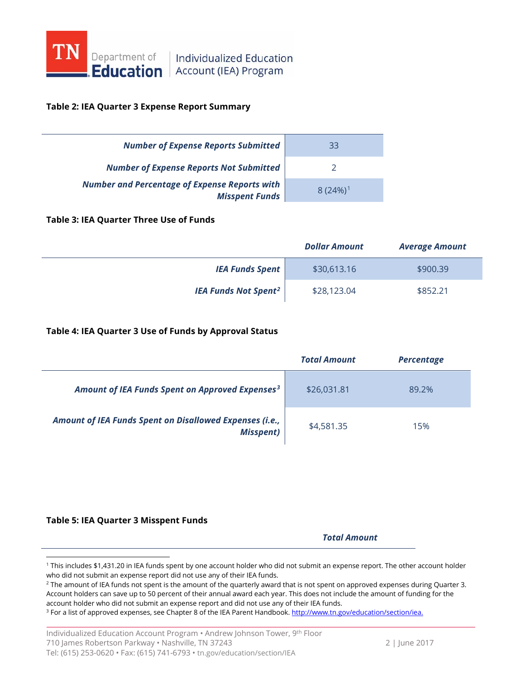

**Education** Account (IEA) Program

#### **Table 2: IEA Quarter 3 Expense Report Summary**

| <b>Number of Expense Reports Submitted</b>                                    | 33                    |
|-------------------------------------------------------------------------------|-----------------------|
| <b>Number of Expense Reports Not Submitted</b>                                |                       |
| <b>Number and Percentage of Expense Reports with</b><br><b>Misspent Funds</b> | $8(24%)$ <sup>1</sup> |

#### **Table 3: IEA Quarter Three Use of Funds**

|                                        | <b>Dollar Amount</b> | <b>Average Amount</b> |
|----------------------------------------|----------------------|-----------------------|
| <b>IEA Funds Spent</b>                 | \$30,613.16          | \$900.39              |
| <b>IEA Funds Not Spent<sup>2</sup></b> | \$28,123.04          | \$852.21              |

#### **Table 4: IEA Quarter 3 Use of Funds by Approval Status**

|                                                                             | <b>Total Amount</b> | <b>Percentage</b> |
|-----------------------------------------------------------------------------|---------------------|-------------------|
| Amount of IEA Funds Spent on Approved Expenses <sup>3</sup>                 | \$26,031.81         | 89.2%             |
| Amount of IEA Funds Spent on Disallowed Expenses (i.e.,<br><b>Misspent)</b> | \$4,581.35          | 15%               |

#### **Table 5: IEA Quarter 3 Misspent Funds**

 $\overline{a}$ 

*Total Amount*

<span id="page-1-0"></span><sup>1</sup> This includes \$1,431.20 in IEA funds spent by one account holder who did not submit an expense report. The other account holder who did not submit an expense report did not use any of their IEA funds.

<span id="page-1-1"></span><sup>&</sup>lt;sup>2</sup> The amount of IEA funds not spent is the amount of the quarterly award that is not spent on approved expenses during Quarter 3. Account holders can save up to 50 percent of their annual award each year. This does not include the amount of funding for the account holder who did not submit an expense report and did not use any of their IEA funds.

<span id="page-1-2"></span><sup>&</sup>lt;sup>3</sup> For a list of approved expenses, see Chapter 8 of the IEA Parent Handbook[. http://www.tn.gov/education/section/iea.](http://www.tn.gov/education/section/iea)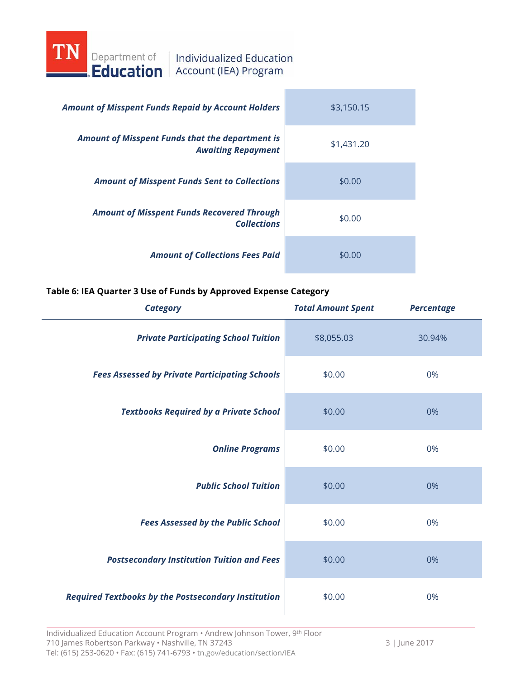

| <b>Amount of Misspent Funds Repaid by Account Holders</b>                           | \$3,150.15 |
|-------------------------------------------------------------------------------------|------------|
| <b>Amount of Misspent Funds that the department is</b><br><b>Awaiting Repayment</b> | \$1,431.20 |
| <b>Amount of Misspent Funds Sent to Collections</b>                                 | \$0.00     |
| <b>Amount of Misspent Funds Recovered Through</b><br><b>Collections</b>             | \$0.00     |
| <b>Amount of Collections Fees Paid</b>                                              | \$0.00     |

#### **Table 6: IEA Quarter 3 Use of Funds by Approved Expense Category**

| <b>Category</b>                                            | <b>Total Amount Spent</b> | <b>Percentage</b> |
|------------------------------------------------------------|---------------------------|-------------------|
| <b>Private Participating School Tuition</b>                | \$8,055.03                | 30.94%            |
| <b>Fees Assessed by Private Participating Schools</b>      | \$0.00                    | 0%                |
| <b>Textbooks Required by a Private School</b>              | \$0.00                    | 0%                |
| <b>Online Programs</b>                                     | \$0.00                    | 0%                |
| <b>Public School Tuition</b>                               | \$0.00                    | 0%                |
| <b>Fees Assessed by the Public School</b>                  | \$0.00                    | 0%                |
| <b>Postsecondary Institution Tuition and Fees</b>          | \$0.00                    | 0%                |
| <b>Required Textbooks by the Postsecondary Institution</b> | \$0.00                    | 0%                |